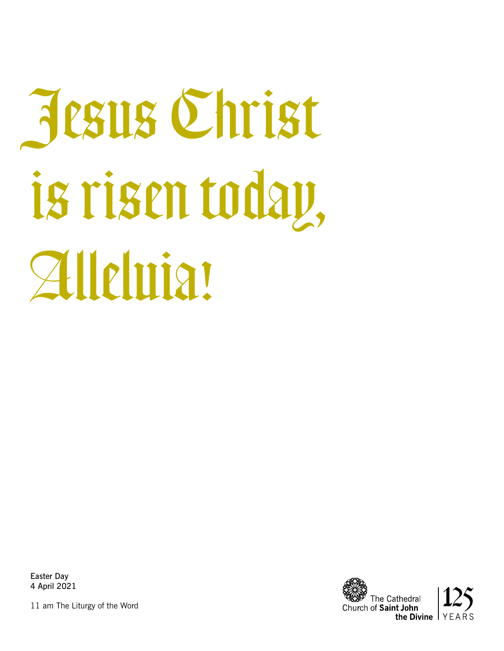# Jesus Christ is risen today, Alleluia!

Easter Day 4 April 2021

11 am The Liturgy of the Word

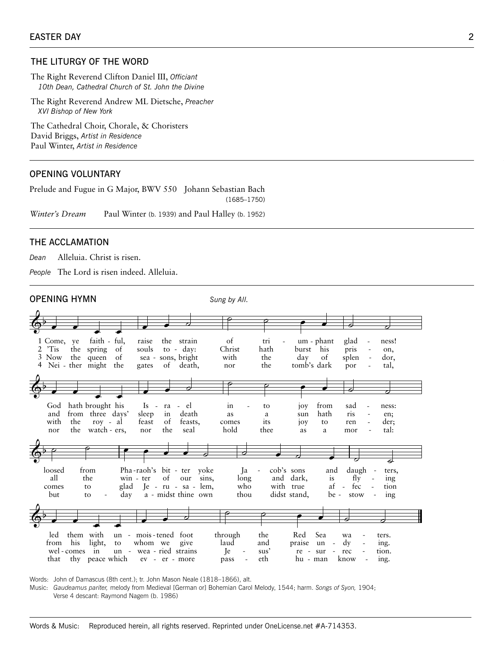# THE LITURGY OF THE WORD

The Right Reverend Clifton Daniel III, Officiant 10th Dean, Cathedral Church of St. John the Divine

The Right Reverend Andrew ML Dietsche, Preacher XVI Bishop of New York

The Cathedral Choir, Chorale, & Choristers David Briggs, Artist in Residence Paul Winter, Artist in Residence

## **OPENING VOLUNTARY**

Prelude and Fugue in G Major, BWV 550 Johann Sebastian Bach  $(1685 - 1750)$ 

Winter's Dream Paul Winter (b. 1939) and Paul Halley (b. 1952)

#### THE ACCLAMATION

Dean Alleluia. Christ is risen.

People The Lord is risen indeed. Alleluia.

#### **OPENING HYMN**

Sung by All.



Words: John of Damascus (8th cent.); tr. John Mason Neale (1818-1866), alt.

Music: Gaudeamus pariter, melody from Medieval [German or] Bohemian Carol Melody, 1544; harm. Songs of Syon, 1904; Verse 4 descant: Raymond Nagem (b. 1986)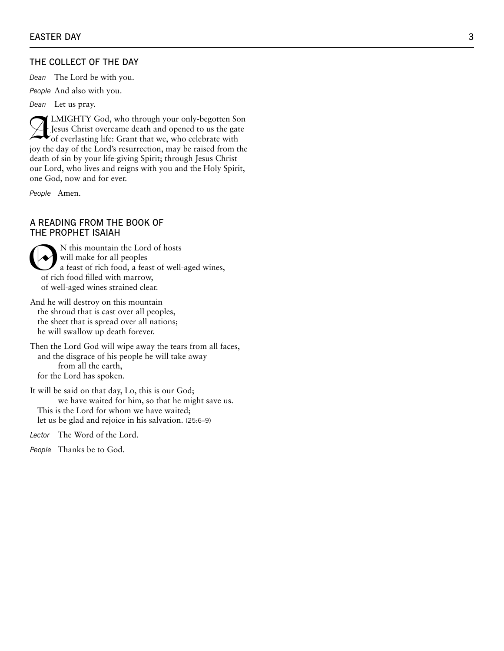#### THE COLLECT OF THE DAY

*Dean* The Lord be with you.

*People* And also with you.

*Dean* Let us pray.

LMIGHTY God, who through your only-begotten Son<br>Jesus Christ overcame death and opened to us the gate<br>of everlasting life: Grant that we, who celebrate with Jesus Christ overcame death and opened to us the gate of everlasting life: Grant that we, who celebrate with joy the day of the Lord's resurrection, may be raised from the death of sin by your life-giving Spirit; through Jesus Christ our Lord, who lives and reigns with you and the Holy Spirit, one God, now and for ever.

*People* Amen.

#### A READING FROM THE BOOK OF THE PROPHET ISAIAH

Whis mountain the Lord of hosts<br>
a feast of rich food, a feast of well-aged wines,<br>
of rich food filled with marrow will make for all peoples of rich food filled with marrow, of well-aged wines strained clear.

And he will destroy on this mountain the shroud that is cast over all peoples, the sheet that is spread over all nations; he will swallow up death forever.

Then the Lord God will wipe away the tears from all faces, and the disgrace of his people he will take away from all the earth, for the Lord has spoken.

It will be said on that day, Lo, this is our God; we have waited for him, so that he might save us. This is the Lord for whom we have waited; let us be glad and rejoice in his salvation. (25:6–9)

*Lector* The Word of the Lord.

*People* Thanks be to God.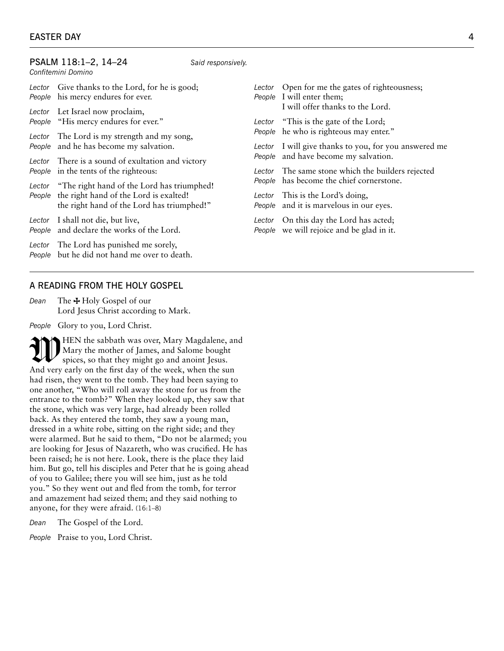#### PSALM 118:1–2, 14–24 *Said responsively. Confitemini Domino Lector* Give thanks to the Lord, for he is good; *People* his mercy endures for ever. *Lector* Let Israel now proclaim, *People* "His mercy endures for ever." *Lector* The Lord is my strength and my song, *People* and he has become my salvation. *Lector* There is a sound of exultation and victory *People* in the tents of the righteous: *Lector* "The right hand of the Lord has triumphed! *People* the right hand of the Lord is exalted! the right hand of the Lord has triumphed!" *Lector* I shall not die, but live, *People* and declare the works of the Lord. *Lector* The Lord has punished me sorely, *People* but he did not hand me over to death. *Lector* Open for me the gates of righteousness; *People* I will enter them; I will offer thanks to the Lord. *Lector* "This is the gate of the Lord; *People* he who is righteous may enter." *Lector* I will give thanks to you, for you answered me *People* and have become my salvation. *Lector* The same stone which the builders rejected *People* has become the chief cornerstone. *Lector* This is the Lord's doing, *People* and it is marvelous in our eyes. *Lector* On this day the Lord has acted; *People* we will rejoice and be glad in it.

# A READING FROM THE HOLY GOSPEL

*Dean* The  $\pm$  Holy Gospel of our Lord Jesus Christ according to Mark.

*People* Glory to you, Lord Christ.

THEN the sabbath was over, Mary Magdalene, and<br>Mary the mother of James, and Salome bought<br>spices, so that they might go and anoint Jesus. Mary the mother of James, and Salome bought spices, so that they might go and anoint Jesus. And very early on the first day of the week, when the sun had risen, they went to the tomb. They had been saying to one another, "Who will roll away the stone for us from the entrance to the tomb?" When they looked up, they saw that the stone, which was very large, had already been rolled back. As they entered the tomb, they saw a young man, dressed in a white robe, sitting on the right side; and they were alarmed. But he said to them, "Do not be alarmed; you are looking for Jesus of Nazareth, who was crucified. He has been raised; he is not here. Look, there is the place they laid him. But go, tell his disciples and Peter that he is going ahead of you to Galilee; there you will see him, just as he told you." So they went out and fled from the tomb, for terror and amazement had seized them; and they said nothing to anyone, for they were afraid. (16:1–8)

*Dean* The Gospel of the Lord.

*People* Praise to you, Lord Christ.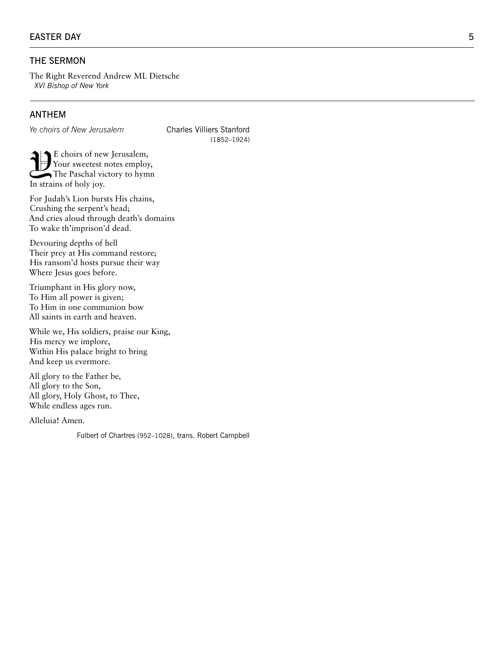#### EASTER DAY

# THE SERMON

The Right Reverend Andrew ML Dietsche *XVI Bishop of New York*

# ANTHEM

*Ye choirs of New Jerusalem* Charles Villiers Stanford

(1852–1924)

E choirs of new Jerusalem,<br>Your sweetest notes employ<br>The Paschal victory to hyn Your sweetest notes employ, The Paschal victory to hymn In strains of holy joy.

For Judah's Lion bursts His chains, Crushing the serpent's head; And cries aloud through death's domains To wake th'imprison'd dead.

Devouring depths of hell Their prey at His command restore; His ransom'd hosts pursue their way Where Jesus goes before.

Triumphant in His glory now, To Him all power is given; To Him in one communion bow All saints in earth and heaven.

While we, His soldiers, praise our King, His mercy we implore, Within His palace bright to bring And keep us evermore.

All glory to the Father be, All glory to the Son, All glory, Holy Ghost, to Thee, While endless ages run.

Alleluia! Amen.

Fulbert of Chartres (952–1028), trans. Robert Campbell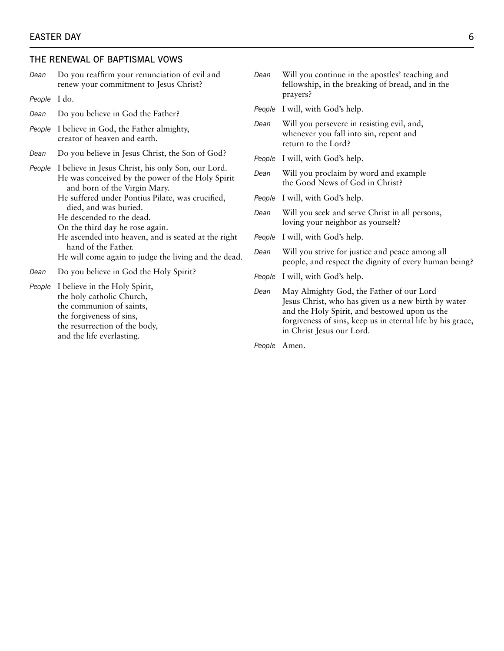# THE RENEWAL OF BAPTISMAL VOWS

and the life everlasting.

|  | Dean         | Do you reaffirm your renunciation of evil and<br>renew your commitment to Jesus Christ?                                                                                                                                     | Dean   | Will you continue in the apostles' teaching and<br>fellowship, in the breaking of bread, and in the<br>prayers?                                                                                                                             |
|--|--------------|-----------------------------------------------------------------------------------------------------------------------------------------------------------------------------------------------------------------------------|--------|---------------------------------------------------------------------------------------------------------------------------------------------------------------------------------------------------------------------------------------------|
|  | People I do. |                                                                                                                                                                                                                             | People | I will, with God's help.                                                                                                                                                                                                                    |
|  | Dean         | Do you believe in God the Father?                                                                                                                                                                                           | Dean   | Will you persevere in resisting evil, and,                                                                                                                                                                                                  |
|  |              | People I believe in God, the Father almighty,<br>creator of heaven and earth.                                                                                                                                               |        | whenever you fall into sin, repent and<br>return to the Lord?                                                                                                                                                                               |
|  | Dean         | Do you believe in Jesus Christ, the Son of God?                                                                                                                                                                             | People | I will, with God's help.                                                                                                                                                                                                                    |
|  |              | People I believe in Jesus Christ, his only Son, our Lord.<br>He was conceived by the power of the Holy Spirit<br>and born of the Virgin Mary.                                                                               | Dean   | Will you proclaim by word and example<br>the Good News of God in Christ?                                                                                                                                                                    |
|  |              | He suffered under Pontius Pilate, was crucified,                                                                                                                                                                            | People | I will, with God's help.                                                                                                                                                                                                                    |
|  |              | died, and was buried.<br>He descended to the dead.<br>On the third day he rose again.<br>He ascended into heaven, and is seated at the right<br>hand of the Father.<br>He will come again to judge the living and the dead. | Dean   | Will you seek and serve Christ in all persons,<br>loving your neighbor as yourself?                                                                                                                                                         |
|  |              |                                                                                                                                                                                                                             | People | I will, with God's help.                                                                                                                                                                                                                    |
|  |              |                                                                                                                                                                                                                             | Dean   | Will you strive for justice and peace among all<br>people, and respect the dignity of every human being?                                                                                                                                    |
|  | Dean         | Do you believe in God the Holy Spirit?                                                                                                                                                                                      | People | I will, with God's help.                                                                                                                                                                                                                    |
|  | People       | I believe in the Holy Spirit,<br>the holy catholic Church,<br>the communion of saints,<br>the forgiveness of sins,<br>the resurrection of the body,<br>المستنفذ والمستند وكثار والملط المست                                 | Dean   | May Almighty God, the Father of our Lord<br>Jesus Christ, who has given us a new birth by water<br>and the Holy Spirit, and bestowed upon us the<br>forgiveness of sins, keep us in eternal life by his grace,<br>in Christ Jesus our Lord. |

*People* Amen.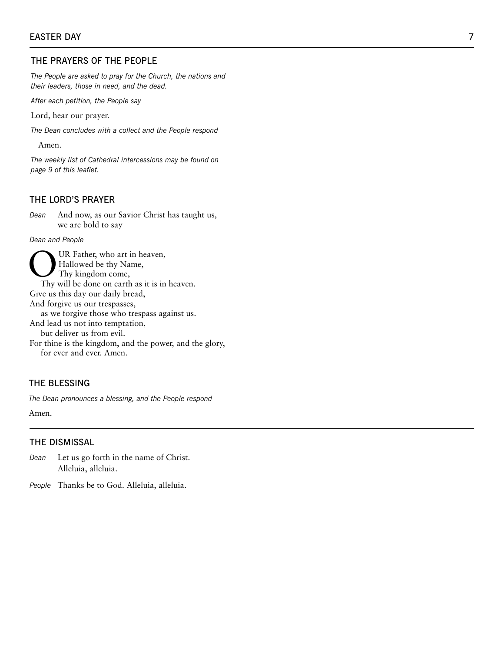# THE PRAYERS OF THE PEOPLE

*The People are asked to pray for the Church, the nations and their leaders, those in need, and the dead.* 

*After each petition, the People say*

Lord, hear our prayer.

*The Dean concludes with a collect and the People respond*

Amen.

*The weekly list of Cathedral intercessions may be found on page 9 of this leaflet.*

# THE LORD'S PRAYER

*Dean* And now, as our Savior Christ has taught us, we are bold to say

*Dean and People*

UR Father, who art in heaven, Hallowed be thy Name, Thy kingdom come, Thy will be done on earth as it is in heaven. Give us this day our daily bread, And forgive us our trespasses, as we forgive those who trespass against us. And lead us not into temptation, but deliver us from evil. For thine is the kingdom, and the power, and the glory, for ever and ever. Amen.

# THE BLESSING

*The Dean pronounces a blessing, and the People respond*

Amen.

#### THE DISMISSAL

*Dean* Let us go forth in the name of Christ. Alleluia, alleluia.

*People* Thanks be to God. Alleluia, alleluia.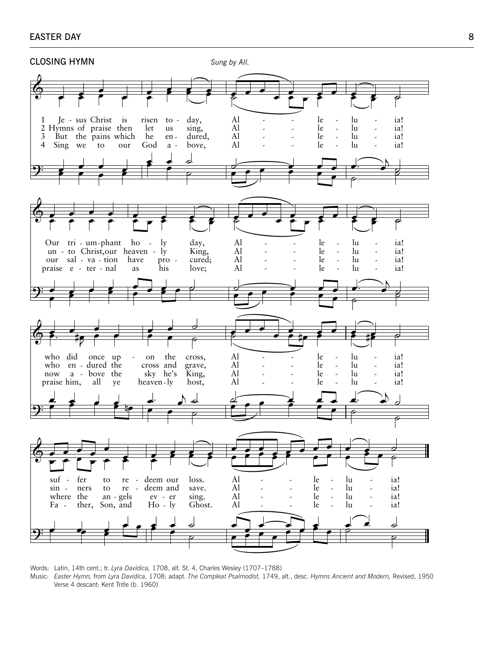#### **EASTER DAY**



Words: Latin, 14th cent.; tr. Lyra Davidica, 1708, alt. St. 4, Charles Wesley (1707-1788) Music: Easter Hymn, from Lyra Davidica, 1708; adapt. The Compleat Psalmodist, 1749, alt., desc. Hymns Ancient and Modern, Revised, 1950 Verse 4 descant: Kent Tritle (b. 1960)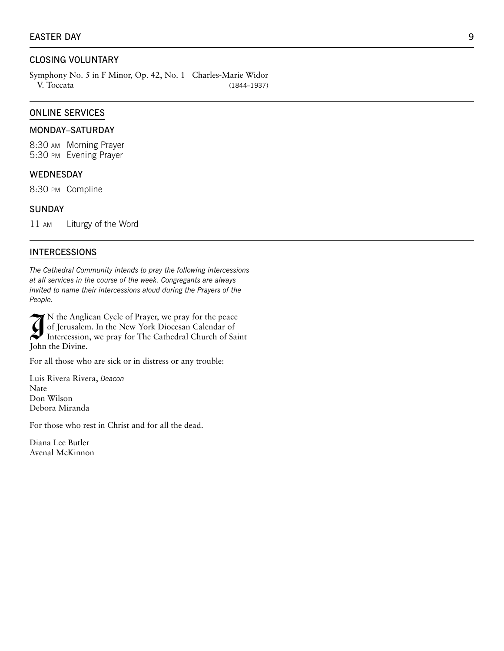# CLOSING VOLUNTARY

Symphony No. 5 in F Minor, Op. 42, No. 1 Charles-Marie Widor V. Toccata (1844–1937)

#### ONLINE SERVICES

#### MONDAY–SATURDAY

8:30 am Morning Prayer 5:30 pm Evening Prayer

#### WEDNESDAY

8:30 pm Compline

#### **SUNDAY**

11 am Liturgy of the Word

#### INTERCESSIONS

*The Cathedral Community intends to pray the following intercessions at all services in the course of the week. Congregants are always invited to name their intercessions aloud during the Prayers of the People.*

N the Anglican Cycle of Prayer, we pray for the peace<br>of Jerusalem. In the New York Diocesan Calendar of<br>Intercession, we pray for The Cathedral Church of Saint<br>John the Divine N the Anglican Cycle of Prayer, we pray for the peace of Jerusalem. In the New York Diocesan Calendar of John the Divine.

For all those who are sick or in distress or any trouble:

Luis Rivera Rivera, *Deacon*  Nate Don Wilson Debora Miranda

For those who rest in Christ and for all the dead.

Diana Lee Butler Avenal McKinnon